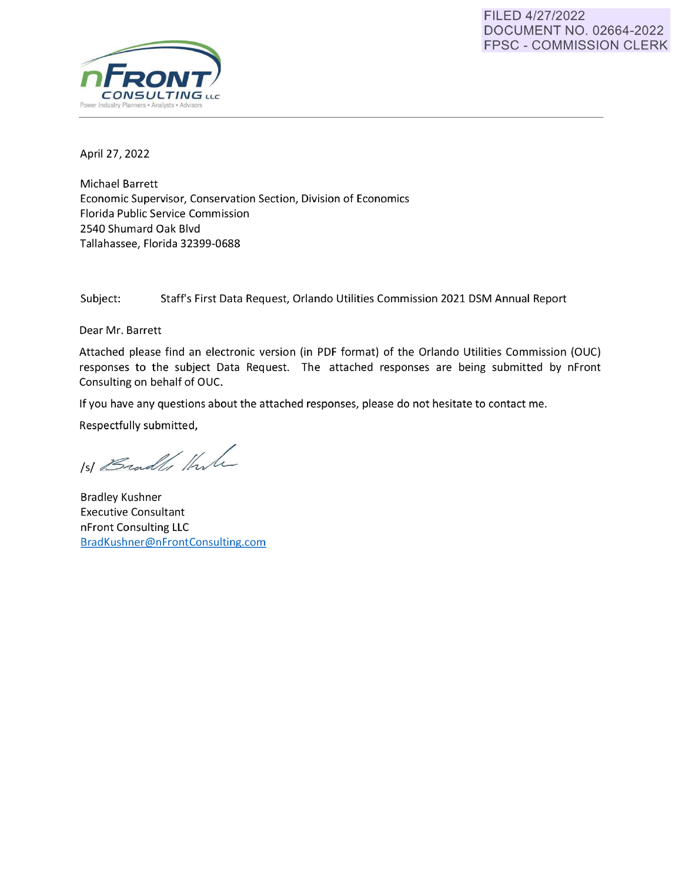#### FILED 4/27/2022 DOCUMENT NO. 02664-2022 FPSC - COMMISSION CLERK



April 27, 2022

Michael Barrett Economic Supervisor, Conservation Section, Division of Economics Florida Public Service Commission 2540 Shumard Oak Blvd Tallahassee, Florida 32399-0688

Subject: Staff's First Data Request, Orlando Utilities Commission 2021 DSM Annual Report

Dear Mr. Barrett

Attached please find an electronic version (in PDF format) of the Orlando Utilities Commission (OUC) responses to the subject Data Request. The attached responses are being submitted by nFront Consulting on behalf of OUC.

If you have any questions about the attached responses, please do not hesitate to contact me.

Respectfully submitted,

151 Bradles Harle

Bradley Kushner Executive Consultant nFront Consulting LLC [BradKushner@nFrontConsulting.com](mailto:BradKushner@nFrontConsulting.com)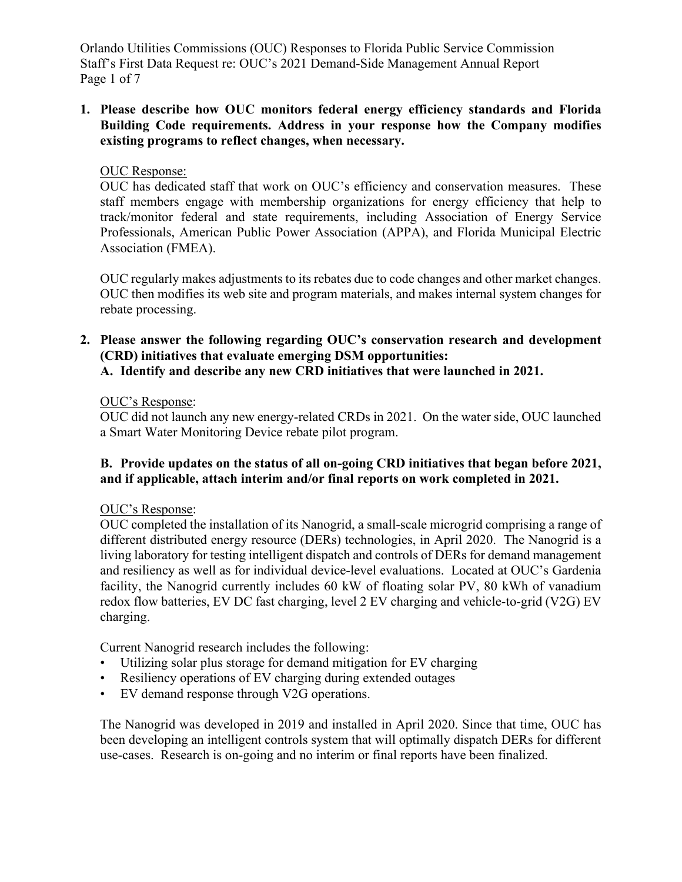Orlando Utilities Commissions (OUC) Responses to Florida Public Service Commission Staff's First Data Request re: OUC's 2021 Demand-Side Management Annual Report Page 1 of 7

### **1. Please describe how OUC monitors federal energy efficiency standards and Florida Building Code requirements. Address in your response how the Company modifies existing programs to reflect changes, when necessary.**

#### OUC Response:

OUC has dedicated staff that work on OUC's efficiency and conservation measures. These staff members engage with membership organizations for energy efficiency that help to track/monitor federal and state requirements, including Association of Energy Service Professionals, American Public Power Association (APPA), and Florida Municipal Electric Association (FMEA).

OUC regularly makes adjustments to its rebates due to code changes and other market changes. OUC then modifies its web site and program materials, and makes internal system changes for rebate processing.

# **2. Please answer the following regarding OUC's conservation research and development (CRD) initiatives that evaluate emerging DSM opportunities:**

**A. Identify and describe any new CRD initiatives that were launched in 2021.** 

# OUC's Response:

OUC did not launch any new energy-related CRDs in 2021. On the water side, OUC launched a Smart Water Monitoring Device rebate pilot program.

# **B. Provide updates on the status of all on-going CRD initiatives that began before 2021, and if applicable, attach interim and/or final reports on work completed in 2021.**

# OUC's Response:

OUC completed the installation of its Nanogrid, a small-scale microgrid comprising a range of different distributed energy resource (DERs) technologies, in April 2020. The Nanogrid is a living laboratory for testing intelligent dispatch and controls of DERs for demand management and resiliency as well as for individual device-level evaluations. Located at OUC's Gardenia facility, the Nanogrid currently includes 60 kW of floating solar PV, 80 kWh of vanadium redox flow batteries, EV DC fast charging, level 2 EV charging and vehicle-to-grid (V2G) EV charging.

Current Nanogrid research includes the following:

- Utilizing solar plus storage for demand mitigation for EV charging
- Resiliency operations of EV charging during extended outages
- EV demand response through V2G operations.

The Nanogrid was developed in 2019 and installed in April 2020. Since that time, OUC has been developing an intelligent controls system that will optimally dispatch DERs for different use-cases. Research is on-going and no interim or final reports have been finalized.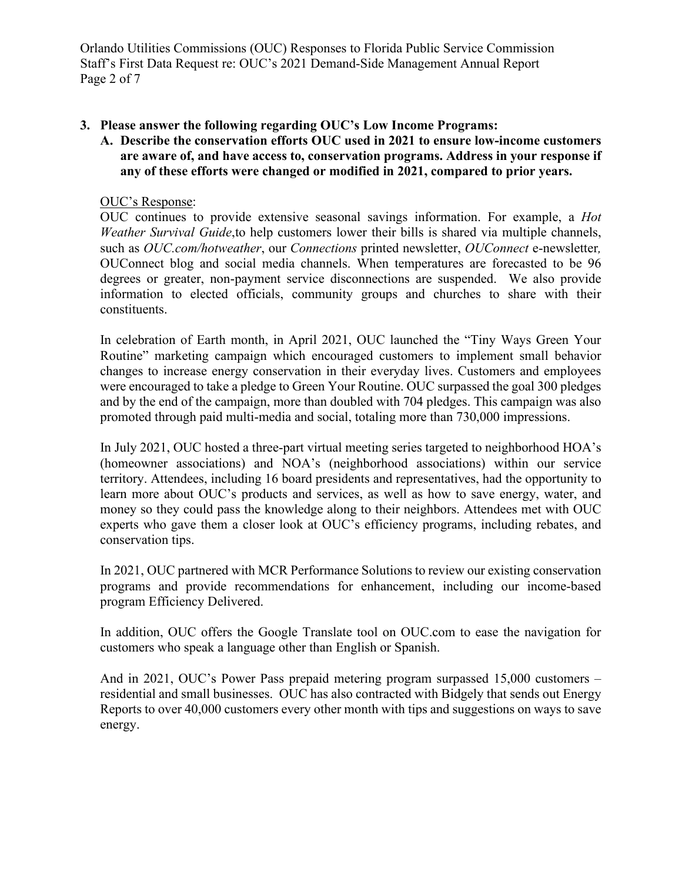Orlando Utilities Commissions (OUC) Responses to Florida Public Service Commission Staff's First Data Request re: OUC's 2021 Demand-Side Management Annual Report Page 2 of 7

# **3. Please answer the following regarding OUC's Low Income Programs:**

**A. Describe the conservation efforts OUC used in 2021 to ensure low-income customers are aware of, and have access to, conservation programs. Address in your response if any of these efforts were changed or modified in 2021, compared to prior years.** 

# OUC's Response:

OUC continues to provide extensive seasonal savings information. For example, a *Hot Weather Survival Guide*,to help customers lower their bills is shared via multiple channels, such as *OUC.com/hotweather*, our *Connections* printed newsletter, *OUConnect* e-newsletter*,*  OUConnect blog and social media channels. When temperatures are forecasted to be 96 degrees or greater, non-payment service disconnections are suspended. We also provide information to elected officials, community groups and churches to share with their constituents.

In celebration of Earth month, in April 2021, OUC launched the "Tiny Ways Green Your Routine" marketing campaign which encouraged customers to implement small behavior changes to increase energy conservation in their everyday lives. Customers and employees were encouraged to take a pledge to Green Your Routine. OUC surpassed the goal 300 pledges and by the end of the campaign, more than doubled with 704 pledges. This campaign was also promoted through paid multi-media and social, totaling more than 730,000 impressions.

In July 2021, OUC hosted a three-part virtual meeting series targeted to neighborhood HOA's (homeowner associations) and NOA's (neighborhood associations) within our service territory. Attendees, including 16 board presidents and representatives, had the opportunity to learn more about OUC's products and services, as well as how to save energy, water, and money so they could pass the knowledge along to their neighbors. Attendees met with OUC experts who gave them a closer look at OUC's efficiency programs, including rebates, and conservation tips.

In 2021, OUC partnered with MCR Performance Solutions to review our existing conservation programs and provide recommendations for enhancement, including our income-based program Efficiency Delivered.

In addition, OUC offers the Google Translate tool on OUC.com to ease the navigation for customers who speak a language other than English or Spanish.

And in 2021, OUC's Power Pass prepaid metering program surpassed 15,000 customers – residential and small businesses. OUC has also contracted with Bidgely that sends out Energy Reports to over 40,000 customers every other month with tips and suggestions on ways to save energy.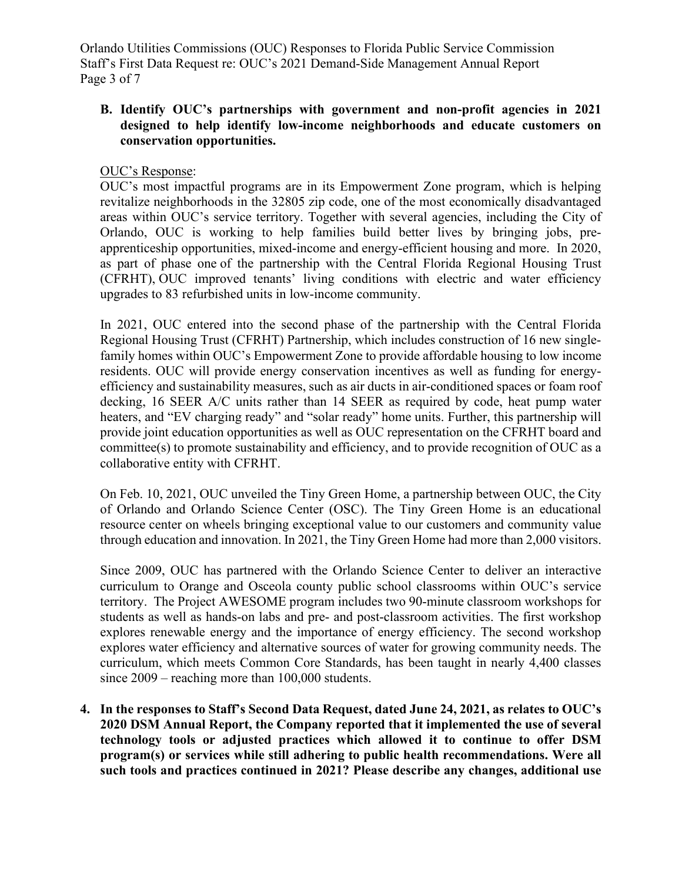Orlando Utilities Commissions (OUC) Responses to Florida Public Service Commission Staff's First Data Request re: OUC's 2021 Demand-Side Management Annual Report Page 3 of 7

### **B. Identify OUC's partnerships with government and non-profit agencies in 2021 designed to help identify low-income neighborhoods and educate customers on conservation opportunities.**

### OUC's Response:

OUC's most impactful programs are in its Empowerment Zone program, which is helping revitalize neighborhoods in the 32805 zip code, one of the most economically disadvantaged areas within OUC's service territory. Together with several agencies, including the City of Orlando, OUC is working to help families build better lives by bringing jobs, preapprenticeship opportunities, mixed-income and energy-efficient housing and more. In 2020, as part of phase one of the partnership with the Central Florida Regional Housing Trust (CFRHT), OUC improved tenants' living conditions with electric and water efficiency upgrades to 83 refurbished units in low-income community.

In 2021, OUC entered into the second phase of the partnership with the Central Florida Regional Housing Trust (CFRHT) Partnership, which includes construction of 16 new singlefamily homes within OUC's Empowerment Zone to provide affordable housing to low income residents. OUC will provide energy conservation incentives as well as funding for energyefficiency and sustainability measures, such as air ducts in air-conditioned spaces or foam roof decking, 16 SEER A/C units rather than 14 SEER as required by code, heat pump water heaters, and "EV charging ready" and "solar ready" home units. Further, this partnership will provide joint education opportunities as well as OUC representation on the CFRHT board and committee(s) to promote sustainability and efficiency, and to provide recognition of OUC as a collaborative entity with CFRHT.

On Feb. 10, 2021, OUC unveiled the Tiny Green Home, a partnership between OUC, the City of Orlando and Orlando Science Center (OSC). The Tiny Green Home is an educational resource center on wheels bringing exceptional value to our customers and community value through education and innovation. In 2021, the Tiny Green Home had more than 2,000 visitors.

Since 2009, OUC has partnered with the Orlando Science Center to deliver an interactive curriculum to Orange and Osceola county public school classrooms within OUC's service territory. The Project AWESOME program includes two 90-minute classroom workshops for students as well as hands-on labs and pre- and post-classroom activities. The first workshop explores renewable energy and the importance of energy efficiency. The second workshop explores water efficiency and alternative sources of water for growing community needs. The curriculum, which meets Common Core Standards, has been taught in nearly 4,400 classes since 2009 – reaching more than 100,000 students.

**4. In the responses to Staff's Second Data Request, dated June 24, 2021, as relates to OUC's 2020 DSM Annual Report, the Company reported that it implemented the use of several technology tools or adjusted practices which allowed it to continue to offer DSM program(s) or services while still adhering to public health recommendations. Were all such tools and practices continued in 2021? Please describe any changes, additional use**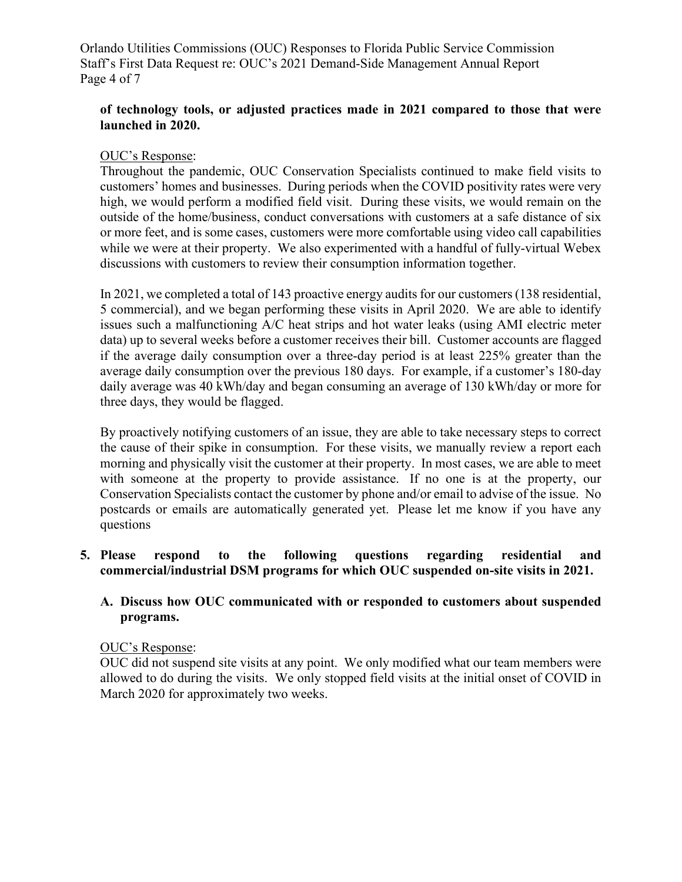Orlando Utilities Commissions (OUC) Responses to Florida Public Service Commission Staff's First Data Request re: OUC's 2021 Demand-Side Management Annual Report Page 4 of 7

### **of technology tools, or adjusted practices made in 2021 compared to those that were launched in 2020.**

### OUC's Response:

Throughout the pandemic, OUC Conservation Specialists continued to make field visits to customers' homes and businesses. During periods when the COVID positivity rates were very high, we would perform a modified field visit. During these visits, we would remain on the outside of the home/business, conduct conversations with customers at a safe distance of six or more feet, and is some cases, customers were more comfortable using video call capabilities while we were at their property. We also experimented with a handful of fully-virtual Webex discussions with customers to review their consumption information together.

In 2021, we completed a total of 143 proactive energy audits for our customers (138 residential, 5 commercial), and we began performing these visits in April 2020. We are able to identify issues such a malfunctioning A/C heat strips and hot water leaks (using AMI electric meter data) up to several weeks before a customer receives their bill. Customer accounts are flagged if the average daily consumption over a three-day period is at least 225% greater than the average daily consumption over the previous 180 days. For example, if a customer's 180-day daily average was 40 kWh/day and began consuming an average of 130 kWh/day or more for three days, they would be flagged.

By proactively notifying customers of an issue, they are able to take necessary steps to correct the cause of their spike in consumption. For these visits, we manually review a report each morning and physically visit the customer at their property. In most cases, we are able to meet with someone at the property to provide assistance. If no one is at the property, our Conservation Specialists contact the customer by phone and/or email to advise of the issue. No postcards or emails are automatically generated yet. Please let me know if you have any questions

# **5. Please respond to the following questions regarding residential and commercial/industrial DSM programs for which OUC suspended on-site visits in 2021.**

# **A. Discuss how OUC communicated with or responded to customers about suspended programs.**

#### OUC's Response:

OUC did not suspend site visits at any point. We only modified what our team members were allowed to do during the visits. We only stopped field visits at the initial onset of COVID in March 2020 for approximately two weeks.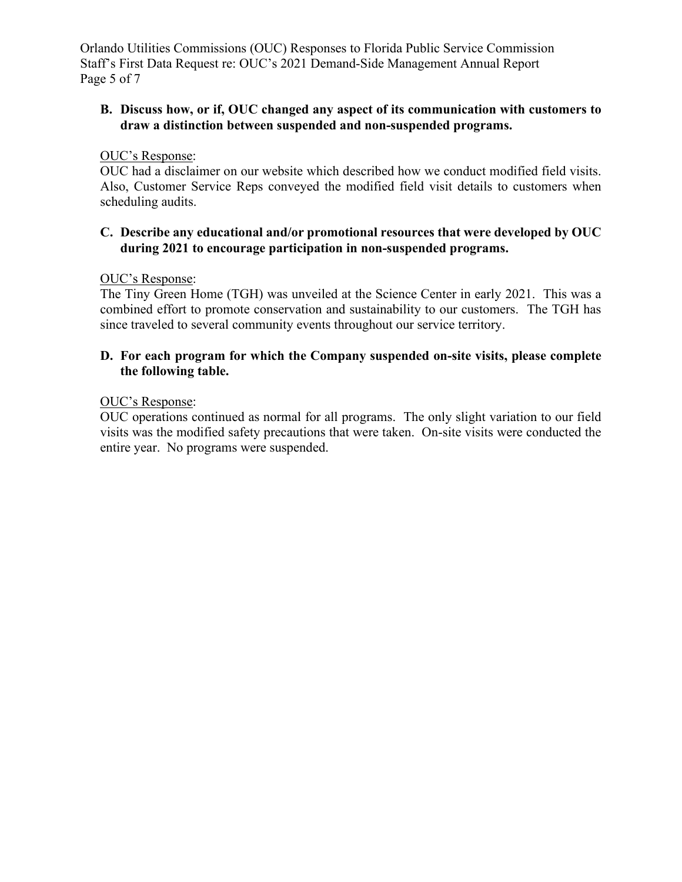Orlando Utilities Commissions (OUC) Responses to Florida Public Service Commission Staff's First Data Request re: OUC's 2021 Demand-Side Management Annual Report Page 5 of 7

# **B. Discuss how, or if, OUC changed any aspect of its communication with customers to draw a distinction between suspended and non-suspended programs.**

### OUC's Response:

OUC had a disclaimer on our website which described how we conduct modified field visits. Also, Customer Service Reps conveyed the modified field visit details to customers when scheduling audits.

### **C. Describe any educational and/or promotional resources that were developed by OUC during 2021 to encourage participation in non-suspended programs.**

#### OUC's Response:

The Tiny Green Home (TGH) was unveiled at the Science Center in early 2021. This was a combined effort to promote conservation and sustainability to our customers. The TGH has since traveled to several community events throughout our service territory.

### **D. For each program for which the Company suspended on-site visits, please complete the following table.**

### OUC's Response:

OUC operations continued as normal for all programs. The only slight variation to our field visits was the modified safety precautions that were taken. On-site visits were conducted the entire year. No programs were suspended.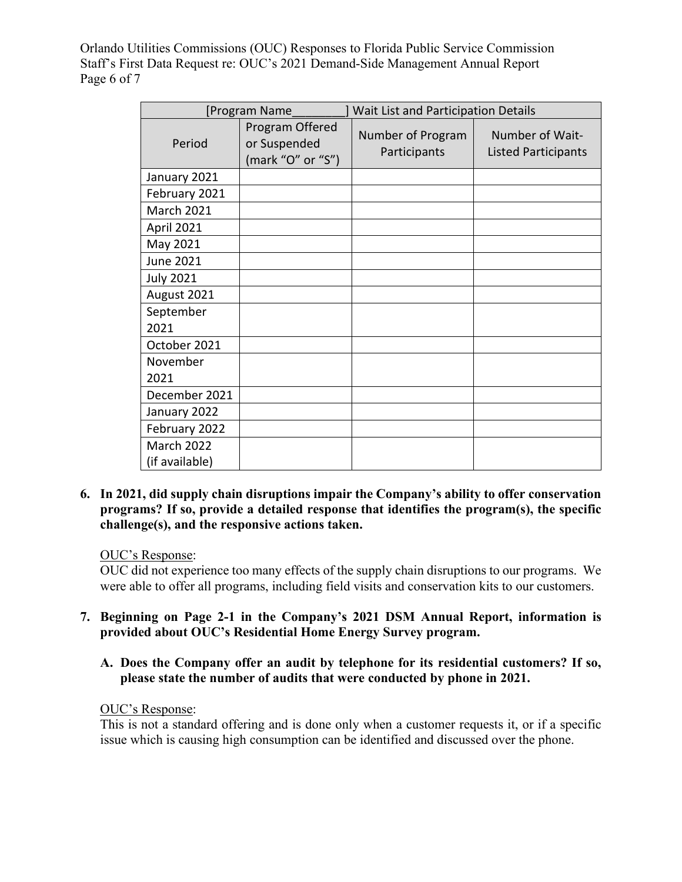Orlando Utilities Commissions (OUC) Responses to Florida Public Service Commission Staff's First Data Request re: OUC's 2021 Demand-Side Management Annual Report Page 6 of 7

| [Program Name                       |                                                      | Wait List and Participation Details |                                               |
|-------------------------------------|------------------------------------------------------|-------------------------------------|-----------------------------------------------|
| Period                              | Program Offered<br>or Suspended<br>(mark "O" or "S") | Number of Program<br>Participants   | Number of Wait-<br><b>Listed Participants</b> |
| January 2021                        |                                                      |                                     |                                               |
| February 2021                       |                                                      |                                     |                                               |
| <b>March 2021</b>                   |                                                      |                                     |                                               |
| April 2021                          |                                                      |                                     |                                               |
| May 2021                            |                                                      |                                     |                                               |
| <b>June 2021</b>                    |                                                      |                                     |                                               |
| <b>July 2021</b>                    |                                                      |                                     |                                               |
| August 2021                         |                                                      |                                     |                                               |
| September<br>2021                   |                                                      |                                     |                                               |
| October 2021                        |                                                      |                                     |                                               |
| November<br>2021                    |                                                      |                                     |                                               |
| December 2021                       |                                                      |                                     |                                               |
| January 2022                        |                                                      |                                     |                                               |
| February 2022                       |                                                      |                                     |                                               |
| <b>March 2022</b><br>(if available) |                                                      |                                     |                                               |

**6. In 2021, did supply chain disruptions impair the Company's ability to offer conservation programs? If so, provide a detailed response that identifies the program(s), the specific challenge(s), and the responsive actions taken.** 

# OUC's Response:

OUC did not experience too many effects of the supply chain disruptions to our programs. We were able to offer all programs, including field visits and conservation kits to our customers.

- **7. Beginning on Page 2-1 in the Company's 2021 DSM Annual Report, information is provided about OUC's Residential Home Energy Survey program.** 
	- **A. Does the Company offer an audit by telephone for its residential customers? If so, please state the number of audits that were conducted by phone in 2021.**

#### OUC's Response:

This is not a standard offering and is done only when a customer requests it, or if a specific issue which is causing high consumption can be identified and discussed over the phone.